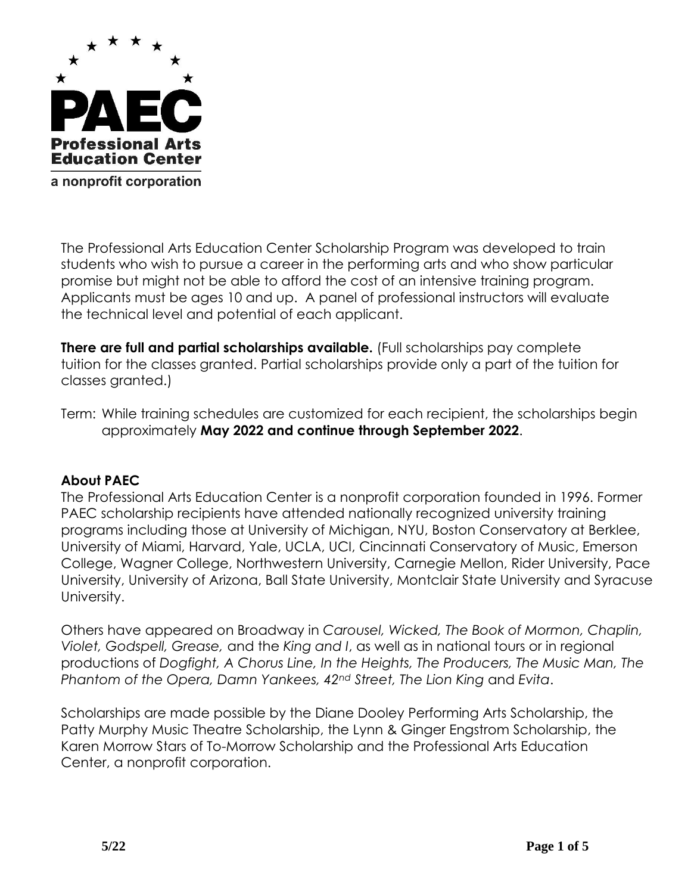

The Professional Arts Education Center Scholarship Program was developed to train students who wish to pursue a career in the performing arts and who show particular promise but might not be able to afford the cost of an intensive training program. Applicants must be ages 10 and up. A panel of professional instructors will evaluate the technical level and potential of each applicant.

**There are full and partial scholarships available.** (Full scholarships pay complete tuition for the classes granted. Partial scholarships provide only a part of the tuition for classes granted.)

Term: While training schedules are customized for each recipient, the scholarships begin approximately **May 2022 and continue through September 2022**.

### **About PAEC**

The Professional Arts Education Center is a nonprofit corporation founded in 1996. Former PAEC scholarship recipients have attended nationally recognized university training programs including those at University of Michigan, NYU, Boston Conservatory at Berklee, University of Miami, Harvard, Yale, UCLA, UCI, Cincinnati Conservatory of Music, Emerson College, Wagner College, Northwestern University, Carnegie Mellon, Rider University, Pace University, University of Arizona, Ball State University, Montclair State University and Syracuse University.

Others have appeared on Broadway in *Carousel, Wicked, The Book of Mormon, Chaplin, Violet, Godspell, Grease,* and the *King and I*, as well as in national tours or in regional productions of *Dogfight, A Chorus Line, In the Heights, The Producers, The Music Man, The Phantom of the Opera, Damn Yankees, 42nd Street, The Lion King* and *Evita*.

Scholarships are made possible by the Diane Dooley Performing Arts Scholarship, the Patty Murphy Music Theatre Scholarship, the Lynn & Ginger Engstrom Scholarship, the Karen Morrow Stars of To-Morrow Scholarship and the Professional Arts Education Center, a nonprofit corporation.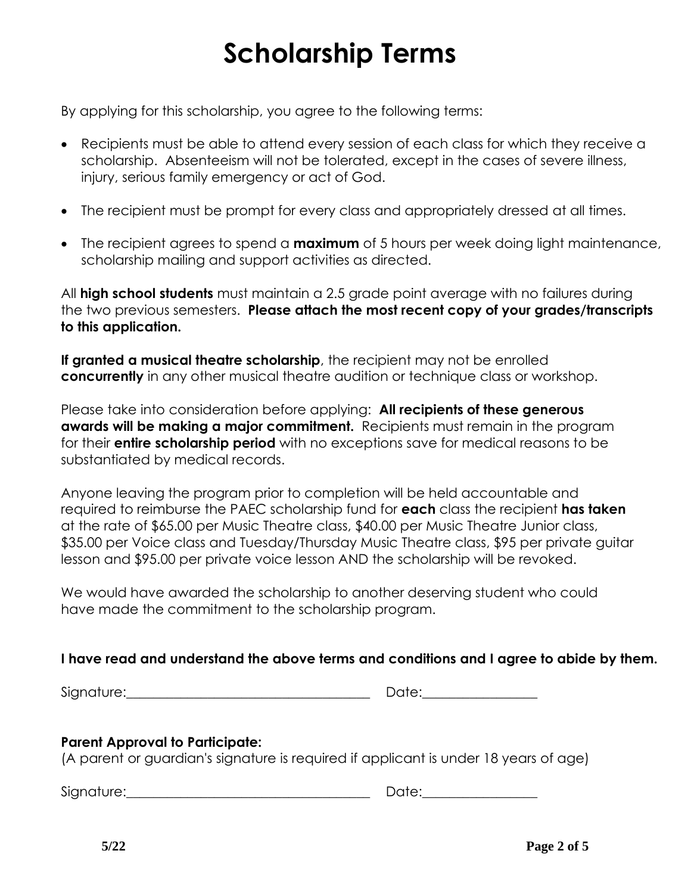# **Scholarship Terms**

By applying for this scholarship, you agree to the following terms:

- Recipients must be able to attend every session of each class for which they receive a scholarship. Absenteeism will not be tolerated, except in the cases of severe illness, injury, serious family emergency or act of God.
- The recipient must be prompt for every class and appropriately dressed at all times.
- The recipient agrees to spend a **maximum** of 5 hours per week doing light maintenance, scholarship mailing and support activities as directed.

All **high school students** must maintain a 2.5 grade point average with no failures during the two previous semesters. **Please attach the most recent copy of your grades/transcripts to this application.**

**If granted a musical theatre scholarship**, the recipient may not be enrolled **concurrently** in any other musical theatre audition or technique class or workshop.

Please take into consideration before applying: **All recipients of these generous awards will be making a major commitment.** Recipients must remain in the program for their **entire scholarship period** with no exceptions save for medical reasons to be substantiated by medical records.

Anyone leaving the program prior to completion will be held accountable and required to reimburse the PAEC scholarship fund for **each** class the recipient **has taken**  at the rate of \$65.00 per Music Theatre class, \$40.00 per Music Theatre Junior class, \$35.00 per Voice class and Tuesday/Thursday Music Theatre class, \$95 per private guitar lesson and \$95.00 per private voice lesson AND the scholarship will be revoked.

We would have awarded the scholarship to another deserving student who could have made the commitment to the scholarship program.

## **I have read and understand the above terms and conditions and I agree to abide by them.**

Signature:\_\_\_\_\_\_\_\_\_\_\_\_\_\_\_\_\_\_\_\_\_\_\_\_\_\_\_\_\_\_\_\_\_\_\_\_ Date:\_\_\_\_\_\_\_\_\_\_\_\_\_\_\_\_\_

## **Parent Approval to Participate:**

(A parent or guardian's signature is required if applicant is under 18 years of age)

Signature:\_\_\_\_\_\_\_\_\_\_\_\_\_\_\_\_\_\_\_\_\_\_\_\_\_\_\_\_\_\_\_\_\_\_\_\_ Date:\_\_\_\_\_\_\_\_\_\_\_\_\_\_\_\_\_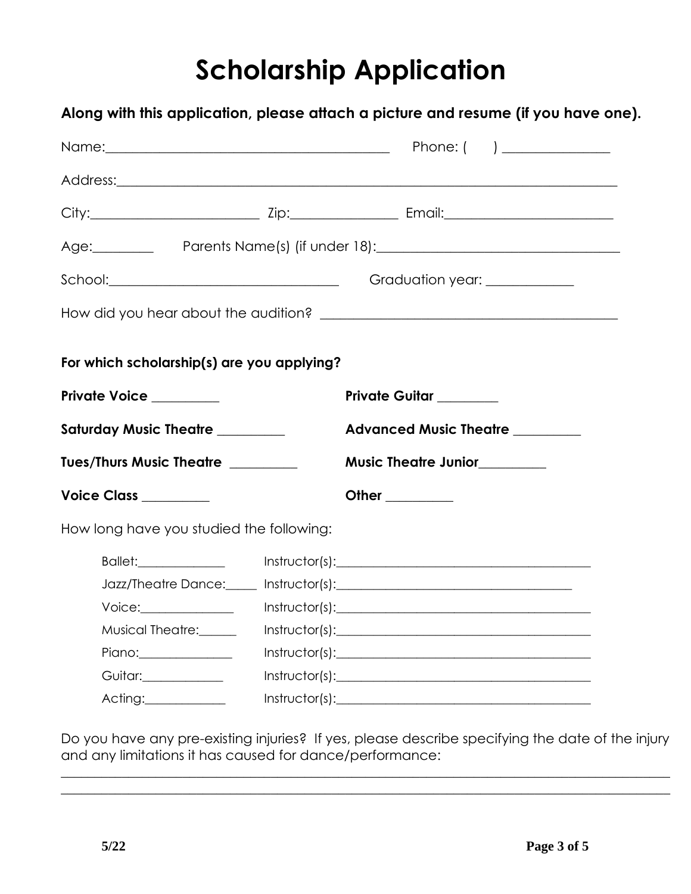# **Scholarship Application**

**Along with this application, please attach a picture and resume (if you have one).**

| Name: Phone: (                             |  |                                                                                                                                                                                                                                                                                                                                                                                                                                                                                                                              |
|--------------------------------------------|--|------------------------------------------------------------------------------------------------------------------------------------------------------------------------------------------------------------------------------------------------------------------------------------------------------------------------------------------------------------------------------------------------------------------------------------------------------------------------------------------------------------------------------|
|                                            |  |                                                                                                                                                                                                                                                                                                                                                                                                                                                                                                                              |
|                                            |  |                                                                                                                                                                                                                                                                                                                                                                                                                                                                                                                              |
|                                            |  | Age: Parents Name(s) (if under 18): 2008. [2010] Parents Name(s) (if under 18):                                                                                                                                                                                                                                                                                                                                                                                                                                              |
|                                            |  | Graduation year: ____________                                                                                                                                                                                                                                                                                                                                                                                                                                                                                                |
|                                            |  |                                                                                                                                                                                                                                                                                                                                                                                                                                                                                                                              |
| For which scholarship(s) are you applying? |  |                                                                                                                                                                                                                                                                                                                                                                                                                                                                                                                              |
| <b>Private Voice</b>                       |  | <b>Private Guitar</b>                                                                                                                                                                                                                                                                                                                                                                                                                                                                                                        |
| <b>Saturday Music Theatre</b>              |  | <b>Advanced Music Theatre ________</b>                                                                                                                                                                                                                                                                                                                                                                                                                                                                                       |
| Tues/Thurs Music Theatre                   |  | <b>Music Theatre Junior</b>                                                                                                                                                                                                                                                                                                                                                                                                                                                                                                  |
| Voice Class ________                       |  | Other _________                                                                                                                                                                                                                                                                                                                                                                                                                                                                                                              |
| How long have you studied the following:   |  |                                                                                                                                                                                                                                                                                                                                                                                                                                                                                                                              |
| Ballet: 2008                               |  | $Instructor(s): \begin{tabular}{ l l } \hline \multicolumn{3}{ l }{\text{Instructor(s)}}: & \multicolumn{3}{ l }{\text{Instructor(s)}}: & \multicolumn{3}{ l }{\text{Instructor(s)}}: & \multicolumn{3}{ l }{\text{Instructor(s)}}: & \multicolumn{3}{ l }{\text{Instructor(s)}}: & \multicolumn{3}{ l }{\text{Instructor(s)}}: & \multicolumn{3}{ l }{\text{Instructor(s)}}: & \multicolumn{3}{ l }{\text{Instructor(s)}}: & \multicolumn{3}{ l }{\text{Instructor(s)}}: & \multicolumn{3}{ l }{\text{Instructor(s)}}: & \$ |
|                                            |  |                                                                                                                                                                                                                                                                                                                                                                                                                                                                                                                              |
| Voice:                                     |  | $Instructor(s): \begin{tabular}{ l l } \hline \rule{0.3cm}{.04cm} \rule{0.3cm}{.04cm} \rule{0.3cm}{.04cm} \rule{0.3cm}{.04cm} \rule{0.3cm}{.04cm} \rule{0.3cm}{.04cm} \rule{0.3cm}{.04cm} \rule{0.3cm}{.04cm} \rule{0.3cm}{.04cm} \rule{0.3cm}{.04cm} \rule{0.3cm}{.04cm} \rule{0.3cm}{.04cm} \rule{0.3cm}{.04cm} \rule{0.3cm}{.04cm} \rule{0.3cm}{.04cm} \rule{0.3$                                                                                                                                                         |
| Musical Theatre:                           |  |                                                                                                                                                                                                                                                                                                                                                                                                                                                                                                                              |
| Piano:_______________                      |  | $Instructor(s): \begin{tabular}{ l l } \hline \multicolumn{3}{ l }{\text{}} & \multicolumn{3}{ l }{\text{}} \\ \hline \multicolumn{3}{ l }{\text{}} & \multicolumn{3}{ l }{\text{}} \\ \hline \multicolumn{3}{ l }{\text{}} & \multicolumn{3}{ l }{\text{}} \\ \hline \multicolumn{3}{ l }{\text{}} & \multicolumn{3}{ l }{\text{}} \\ \hline \multicolumn{3}{ l }{\text{}} & \multicolumn{3}{ l }{\text{}} \\ \hline \multicolumn{3}{ l }{\text{}} & \multicolumn{3}{ l $                                                   |
| Guitar:_____________                       |  | $Instructor(s): \begin{tabular}{ l l } \hline \rule{0.3cm}{.04cm} \rule{0.3cm}{.04cm} \rule{0.3cm}{.04cm} \rule{0.3cm}{.04cm} \rule{0.3cm}{.04cm} \rule{0.3cm}{.04cm} \rule{0.3cm}{.04cm} \rule{0.3cm}{.04cm} \rule{0.3cm}{.04cm} \rule{0.3cm}{.04cm} \rule{0.3cm}{.04cm} \rule{0.3cm}{.04cm} \rule{0.3cm}{.04cm} \rule{0.3cm}{.04cm} \rule{0.3cm}{.04cm} \rule{0.3$                                                                                                                                                         |
| Acting:___________                         |  | $Instructor(s): \begin{tabular}{ c c c } \hline \multicolumn{3}{ c }{\textbf{Instructor(s)}}: & \multicolumn{3}{ c }{\textbf{Instructor(s)}}: & \multicolumn{3}{ c }{\textbf{Instructor(s)}}: & \multicolumn{3}{ c }{\textbf{Instructor(s)}}: & \multicolumn{3}{ c }{\textbf{Instructor(s)}}: & \multicolumn{3}{ c }{\textbf{Instructor(s)}}: & \multicolumn{3}{ c }{\textbf{Instructor(s)}}: & \multicolumn{3}{ c }{\textbf{Instructor(s)}}: & \multicolumn{3}{ c }{\textbf{Instructor(s)}}: & \multicolumn{3}{ c $         |

Do you have any pre-existing injuries? If yes, please describe specifying the date of the injury and any limitations it has caused for dance/performance:

 $\_$  $\_$  , and the set of the set of the set of the set of the set of the set of the set of the set of the set of the set of the set of the set of the set of the set of the set of the set of the set of the set of the set of th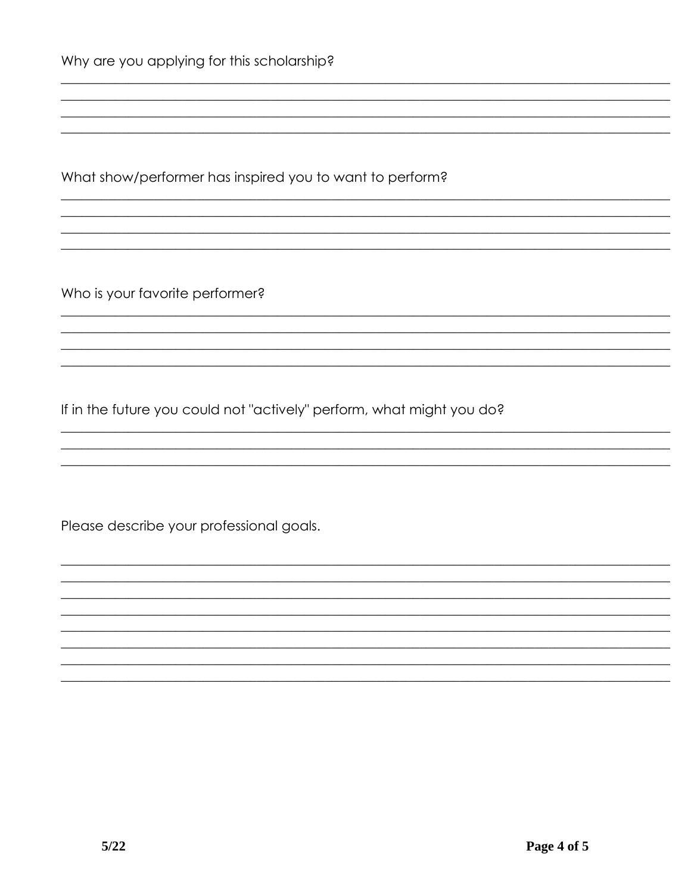What show/performer has inspired you to want to perform?

Who is your favorite performer?

If in the future you could not "actively" perform, what might you do?

Please describe your professional goals.